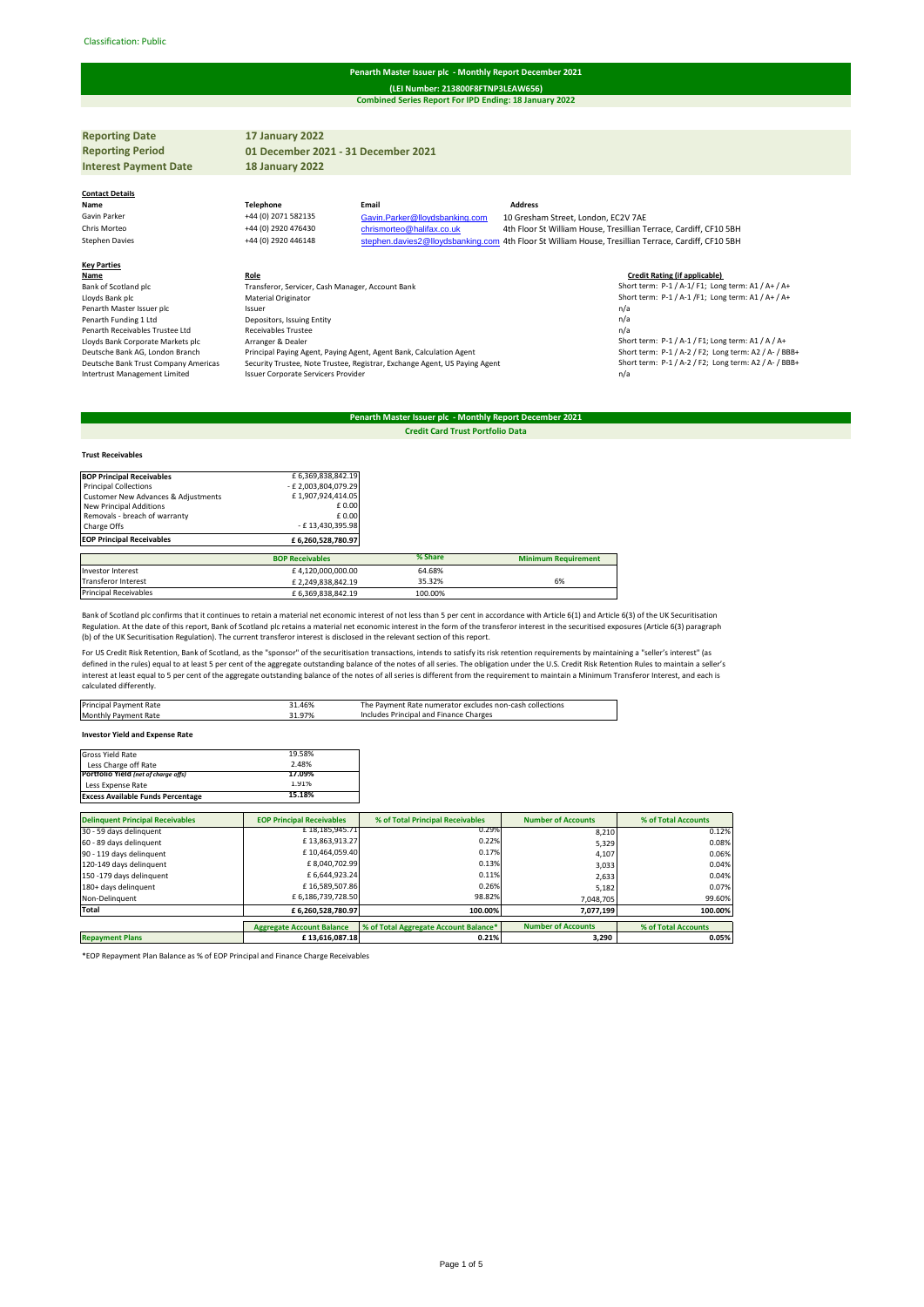#### Classification: Public#

#### **Penarth Master Issuer plc - Monthly Report December 2021**

**Combined Series Report For IPD Ending: 18 January 2022 (LEI Number: 213800F8FTNP3LEAW656)**

**Reporting Date 17 January 2022 Reporting Period Interest Payment Date 18 January 2022 Contact Details Name Telephone Email Address** Gavin Parker +44 (0) 2071 582135 Gavin. Parker @lloydsbanking.com 10 Gresham Street, London, EC2V 7AE<br>Fris Morteo +44 (0) 2920 476430 chrismorteo @halifax.co.uk 4th Floor St William House, Tresillian Ti Chris Morteo +44 (0) 2920 476430 [chrismorteo@halifax.co.uk](mailto:chrismorteo@halifax.co.uk) 4th Floor St William House, Tresillian Terrace, Cardiff, CF10 5BH<br>Stephen.davies2@lloydsbanking.com 4th Floor St William House, Tresillian Terrace, Cardiff, CF10 5 [stephen.davies2@lloydsbanking.com](mailto:stephen.davies2@lloydsbanking.com) 4th Floor St William House, Tresillian Terrace, Cardiff, CF10 5BH **Key Parties Name Role Role Role Role Role Role Credit Rating (if applicable) Credit Rating (if applicable) Credit Rating (if applicable) Credit Rating (if applicable) Credit Rating (if applicable) CROLE CROL** Bank of Scotland plc Scotland plc Transferor, Servicer, Cash Manager, Account Bank Short term: P-1 / A-1/ A-1/ A-1/ F1; Long term: A1 / A+ / A+<br>Hoyds Bank plc Material Originator Short term: Path of File of Aristotland ori Penarth Master Issuer plc **Issuer** Issuer **planetic Issuer is a constant of the Issuer of the Issuer of the Issuer of the Issuer of the Issuer of the Issuer of the Issuer of the Issuer of the Issuer of the Issuer of the I** Penarth Funding 1 Ltd<br>
Penarth Receivables Trustee I td<br>
Receivables Trustee I td<br>
Receivables Trustee Penarth Receivables Trustee Ltd<br>Receivables Trustee Ltd<br>Receivables Trustee Nackets plc Lowin Corporate Markets plc. Arranger & Dealer Theories and Short term: P-1 / A-1 / F1; Long term: A1 / A / A+<br>
Lloyds Bank Corporate Markets plc<br>
Deutsche Bank AG, London Brankets plc Arranger & Dealer<br>
Deutsche Bank Trus Deutsche Bank AG, London Branch Principal Paying Agent, Paying Agent, Agent Bank, Calculation Agent<br>Deutsche Bank Trust Company Americas Security Trustee. Note Trustee. Registrar. Exchange Agent. US Payin Deutsche Bank Trust Company Americas Security Trustee, Note Trustee, Registrar, Exchange Agent, US Paying Agent<br>1/ Intertrust Management Limited statem: P-1 / A-2 / Issuer Corporate Servicers Provider Issuer Corporate Servicers Provide **01 December 2021 - 31 December 2021**

## **Penarth Master Issuer plc - Monthly Report December 2021 Credit Card Trust Portfolio Data**

# **Trust Receivables**

| <b>BOP Principal Receivables</b>    | £ 6,369,838,842.19     |         |                            |
|-------------------------------------|------------------------|---------|----------------------------|
| <b>Principal Collections</b>        | - £2,003,804,079.29    |         |                            |
| Customer New Advances & Adjustments | £1,907,924,414.05      |         |                            |
| New Principal Additions             | £ 0.00                 |         |                            |
| Removals - breach of warranty       | £ 0.00                 |         |                            |
| Charge Offs                         | - £13,430,395.98       |         |                            |
| <b>EOP Principal Receivables</b>    | £6,260,528,780.97      |         |                            |
|                                     | <b>BOP Receivables</b> | % Share | <b>Minimum Requirement</b> |
| Investor Interest                   | £4,120,000,000.00      | 64.68%  |                            |
| Transferor Interest                 | £2,249,838,842.19      | 35.32%  | 6%                         |
| <b>Principal Receivables</b>        | £ 6,369,838,842.19     | 100.00% |                            |

Bank of Scotland plc confirms that it continues to retain a material net economic interest of not less than 5 per cent in accordance with Article 6(1) and Article 6(3) of the UK Securitisation Regulation. At the date of this report, Bank of Scotland plc retains a material net economic interest in the form of the transferor interest in the securitised exposures (Article 6(3) paragraph<br>(b) of the UK Securitisation

For US Credit Risk Retention, Bank of Scotland, as the "sponsor" of the securitisation transactions, intends to satisfy its risk retention requirements by maintaining a "seller's interest" (as defined in the rules) equal to at least 5 per cent of the aggregate outstanding balance of the notes of all series. The obligation under the U.S. Credit Risk Retention Rules to maintain a seller's interest at least equal to 5 per cent of the aggregate outstanding balance of the notes of all series is different from the requirement to maintain a Minimum Transferor Interest, and each is calculated differently.

| Principal Payment Rate                 | 31.46% | The Payment Rate numerator excludes non-cash collections |  |  |
|----------------------------------------|--------|----------------------------------------------------------|--|--|
| Monthly Payment Rate                   | 31.97% | Includes Principal and Finance Charges                   |  |  |
|                                        |        |                                                          |  |  |
| <b>Investor Yield and Expense Rate</b> |        |                                                          |  |  |

| 1.91%  |        |
|--------|--------|
| 17.09% |        |
| 2.48%  |        |
| 19.58% |        |
|        | 15.18% |

| <b>Delinquent Principal Receivables</b> | <b>EOP Principal Receivables</b> | % of Total Principal Receivables      | <b>Number of Accounts</b> | % of Total Accounts |
|-----------------------------------------|----------------------------------|---------------------------------------|---------------------------|---------------------|
| 30 - 59 days delinquent                 | £18,185,945.71                   | 0.29%                                 | 8,210                     | 0.12%               |
| 60 - 89 days delinquent                 | £13,863,913.27                   | 0.22%                                 | 5,329                     | 0.08%               |
| 90 - 119 days delinquent                | £10,464,059.40                   | 0.17%                                 | 4,107                     | 0.06%               |
| 120-149 days delinquent                 | £8,040,702.99                    | 0.13%                                 | 3,033                     | 0.04%               |
| 150-179 days delinquent                 | £ 6,644,923.24                   | 0.11%                                 | 2.633                     | 0.04%               |
| 180+ days delinquent                    | £16,589,507.86                   | 0.26%                                 | 5.182                     | 0.07%               |
| Non-Delinquent                          | £6,186,739,728.50                | 98.82%                                | 7,048,705                 | 99.60%              |
| Total                                   | £6.260.528.780.97                | 100.00%                               | 7,077,199                 | 100.00%             |
|                                         | <b>Aggregate Account Balance</b> | % of Total Aggregate Account Balance* | <b>Number of Accounts</b> | % of Total Accounts |
| <b>Repayment Plans</b>                  | £13,616,087.18                   | 0.21%                                 | 3.290                     | 0.05%               |

\*EOP Repayment Plan Balance as % of EOP Principal and Finance Charge Receivables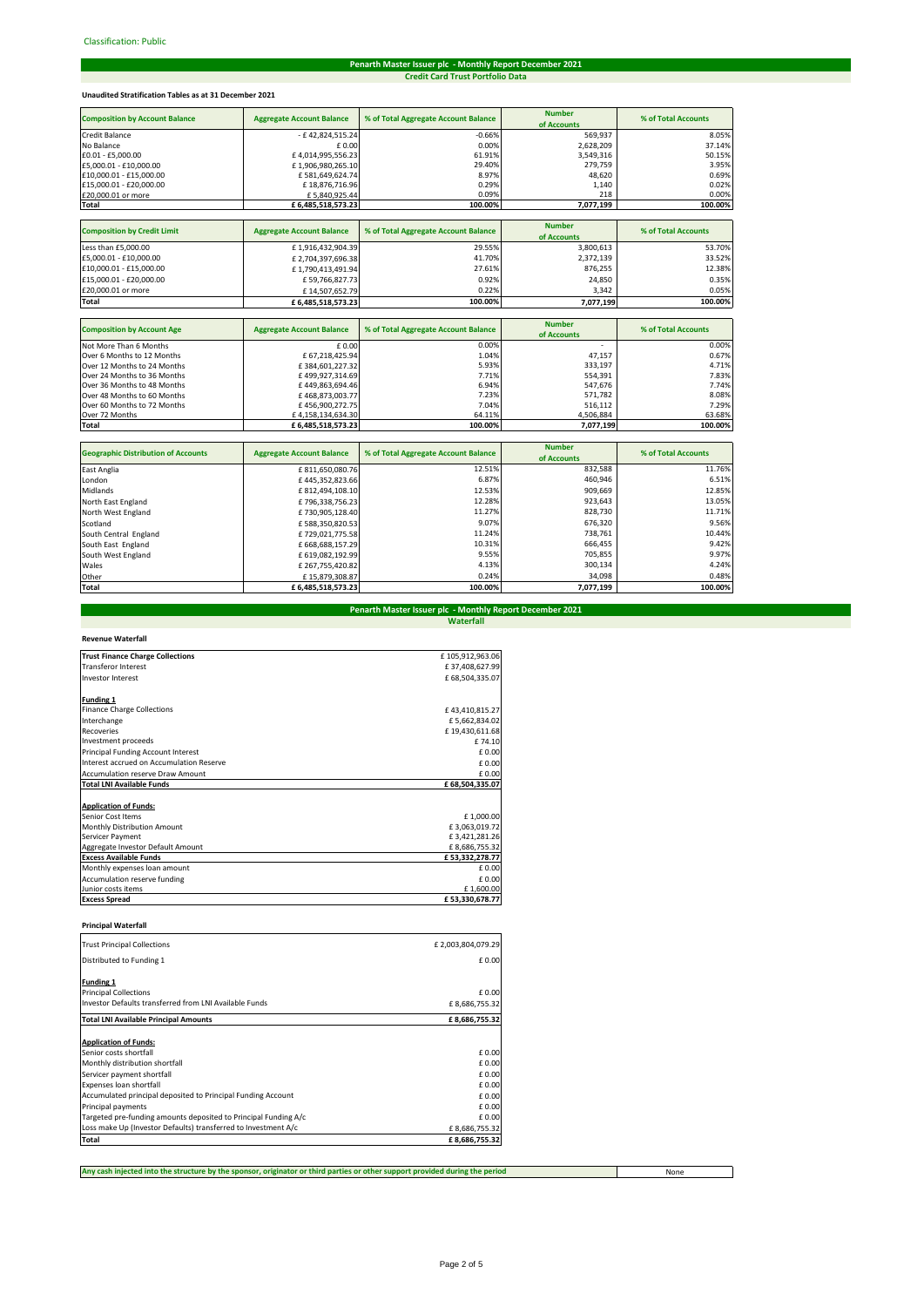# **Penarth Master Issuer plc - Monthly Report December 2021 Credit Card Trust Portfolio Data**

# **Unaudited Stratification Tables as at 31 December 2021**

| <b>Composition by Account Balance</b> | <b>Aggregate Account Balance</b> | % of Total Aggregate Account Balance | <b>Number</b><br>of Accounts | % of Total Accounts |
|---------------------------------------|----------------------------------|--------------------------------------|------------------------------|---------------------|
| <b>Credit Balance</b>                 | - £42,824,515.24                 | $-0.66%$                             | 569,937                      | 8.05%               |
| No Balance                            | £ 0.00                           | 0.00%                                | 2,628,209                    | 37.14%              |
| £0.01 - £5,000.00                     | £4,014,995,556.23                | 61.91%                               | 3,549,316                    | 50.15%              |
| £5,000.01 - £10,000.00                | £1,906,980,265.10                | 29.40%                               | 279,759                      | 3.95%               |
| £10,000.01 - £15,000.00               | £581,649,624.74                  | 8.97%                                | 48.620                       | 0.69%               |
| £15,000.01 - £20,000.00               | £18,876,716.96                   | 0.29%                                | 1,140                        | 0.02%               |
| £20,000.01 or more                    | £5,840,925.44                    | 0.09%                                | 218                          | 0.00%               |
| <b>Total</b>                          | £6,485,518,573.23                | 100.00%                              | 7,077,199                    | 100.00%             |
|                                       |                                  |                                      |                              |                     |
| <b>Composition by Credit Limit</b>    | <b>Aggregate Account Balance</b> | % of Total Aggregate Account Balance | <b>Number</b>                | % of Total Accounts |
|                                       |                                  |                                      | of Accounts                  |                     |
| Less than £5,000.00                   | £1,916,432,904.39                | 29.55%                               | 3,800,613                    | 53.70%              |
| £5,000.01 - £10,000.00                | £2,704,397,696.38                | 41.70%                               | 2,372,139                    | 33.52%              |
| £10,000.01 - £15,000.00               | £1,790,413,491.94                | 27.61%                               | 876,255                      | 12.38%              |
| £15,000.01 - £20,000.00               | £59,766,827.73                   | 0.92%                                | 24,850                       | 0.35%               |
| £20,000.01 or more                    | £14,507,652.79                   | 0.22%                                | 3,342                        | 0.05%               |
| Total                                 | £6,485,518,573.23                | 100.00%                              | 7,077,199                    | 100.00%             |
|                                       |                                  |                                      |                              |                     |
| <b>Composition by Account Age</b>     | <b>Aggregate Account Balance</b> | % of Total Aggregate Account Balance | <b>Number</b>                | % of Total Accounts |
|                                       |                                  |                                      | of Accounts                  |                     |
| Not More Than 6 Months                | £0.00                            | 0.00%                                | ٠                            | 0.00%               |
| Over 6 Months to 12 Months            | £67.218.425.94                   | 1.04%                                | 47,157                       | 0.67%               |

| Total                       | £6.485.518.573.23 | 100.00% | 7,077,199                | 100.00% |
|-----------------------------|-------------------|---------|--------------------------|---------|
| Over 72 Months              | £4.158.134.634.30 | 64.11%  | 4.506.884                | 63.68%  |
| Over 60 Months to 72 Months | £456.900.272.75   | 7.04%   | 516.112                  | 7.29%   |
| Over 48 Months to 60 Months | £468.873.003.77   | 7.23%   | 571.782                  | 8.08%   |
| Over 36 Months to 48 Months | £449.863.694.46   | 6.94%   | 547.676                  | 7.74%   |
| Over 24 Months to 36 Months | £499.927.314.69   | 7.71%   | 554,391                  | 7.83%   |
| Over 12 Months to 24 Months | £384.601.227.32   | 5.93%   | 333.197                  | 4.71%   |
| Over 6 Months to 12 Months  | £67.218.425.94    | 1.04%   | 47.157                   | 0.67%   |
| Not More Than 6 Months      | £0.00             | 0.00%   | $\overline{\phantom{a}}$ | 0.00%   |

| <b>Geographic Distribution of Accounts</b> | <b>Aggregate Account Balance</b> | % of Total Aggregate Account Balance | <b>Number</b><br>of Accounts | % of Total Accounts |
|--------------------------------------------|----------------------------------|--------------------------------------|------------------------------|---------------------|
|                                            |                                  |                                      |                              |                     |
| East Anglia                                | £811,650,080.76                  | 12.51%                               | 832,588                      | 11.76%              |
| London                                     | £445,352,823.66                  | 6.87%                                | 460,946                      | 6.51%               |
| Midlands                                   | £812,494,108.10                  | 12.53%                               | 909.669                      | 12.85%              |
| North East England                         | £796,338,756.23                  | 12.28%                               | 923.643                      | 13.05%              |
| North West England                         | £730,905,128.40                  | 11.27%                               | 828.730                      | 11.71%              |
| Scotland                                   | £588,350,820.53                  | 9.07%                                | 676.320                      | 9.56%               |
| South Central England                      | £729.021.775.58                  | 11.24%                               | 738.761                      | 10.44%              |
| South East England                         | £668.688.157.29                  | 10.31%                               | 666.455                      | 9.42%               |
| South West England                         | £ 619,082,192.99                 | 9.55%                                | 705,855                      | 9.97%               |
| <b>Wales</b>                               | £267,755,420.82                  | 4.13%                                | 300,134                      | 4.24%               |
| Other                                      | £15,879,308.87                   | 0.24%                                | 34,098                       | 0.48%               |
| Total                                      | £6.485.518.573.23                | 100.00%                              | 7,077,199                    | 100.00%             |

# **Waterfall Penarth Master Issuer plc - Monthly Report December 2021**

| <b>Trust Finance Charge Collections</b>  | £105,912,963.06 |
|------------------------------------------|-----------------|
| <b>Transferor Interest</b>               | £37,408,627.99  |
| <b>Investor Interest</b>                 | £68,504,335.07  |
|                                          |                 |
| <b>Funding 1</b>                         |                 |
| <b>Finance Charge Collections</b>        | £43,410,815.27  |
| Interchange                              | £5,662,834.02   |
| <b>Recoveries</b>                        | £19,430,611.68  |
| Investment proceeds                      | £74.10          |
| Principal Funding Account Interest       | £0.00           |
| Interest accrued on Accumulation Reserve | £0.00           |
| <b>Accumulation reserve Draw Amount</b>  | £0.00           |
| <b>Total LNI Available Funds</b>         | £68,504,335.07  |
|                                          |                 |
| <b>Application of Funds:</b>             |                 |
| Senior Cost Items                        | £1,000.00       |
| Monthly Distribution Amount              | £3,063,019.72   |
| Servicer Payment                         | £3,421,281.26   |
| Aggregate Investor Default Amount        | £8,686,755.32   |
| <b>Excess Available Funds</b>            | £53,332,278.77  |
| Monthly expenses loan amount             | £0.00           |
| Accumulation reserve funding             | £0.00           |
| Junior costs items                       | £1,600.00       |
| <b>Excess Spread</b>                     | £53,330,678.77  |

# **Principal Waterfall**

| <b>Trust Principal Collections</b>                              | £2,003,804,079.29 |
|-----------------------------------------------------------------|-------------------|
| Distributed to Funding 1                                        | £0.00             |
| Funding 1                                                       |                   |
| <b>Principal Collections</b>                                    | £ 0.00            |
| Investor Defaults transferred from LNI Available Funds          | £8,686,755.32     |
| <b>Total LNI Available Principal Amounts</b>                    | £8,686,755.32     |
| <b>Application of Funds:</b>                                    |                   |
| Senior costs shortfall                                          | £ 0.00            |
| Monthly distribution shortfall                                  | £ 0.00            |
| Servicer payment shortfall                                      | £ 0.00            |
| Expenses loan shortfall                                         | £0.00             |
| Accumulated principal deposited to Principal Funding Account    | £0.00             |
| Principal payments                                              | £ 0.00            |
| Targeted pre-funding amounts deposited to Principal Funding A/c | £ 0.00            |
| Loss make Up (Investor Defaults) transferred to Investment A/c  | £8,686,755.32     |
| Total                                                           | £8,686,755.32     |

**Any cash injected into the structure by the sponsor, originator or third parties or other support provided during the period**

None

 $\Box$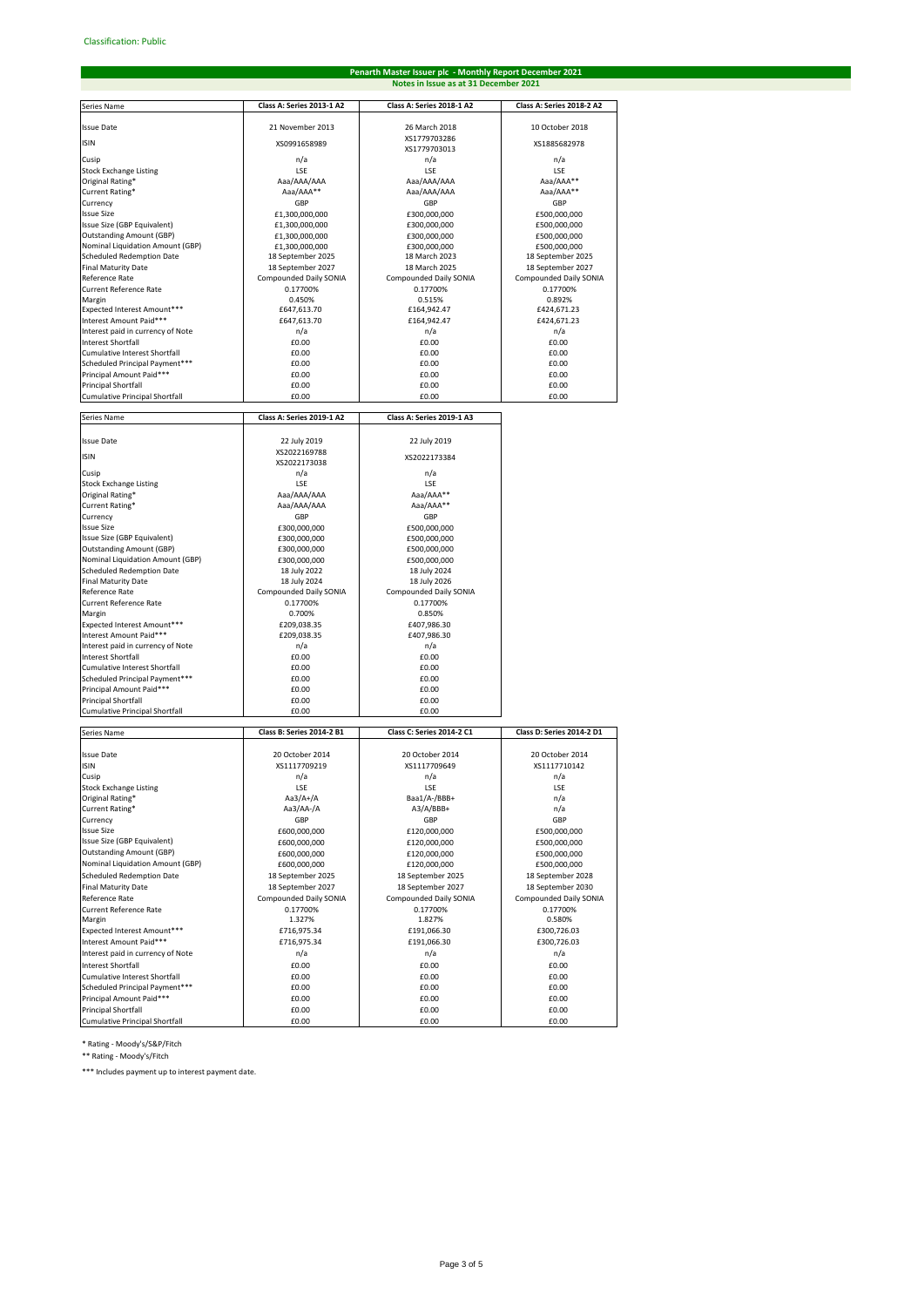# **Penarth Master Issuer plc - Monthly Report December 2021 Notes in Issue as at 31 December 2021**

| Series Name                                                          | Class A: Series 2013-1 A2              | Class A: Series 2018-1 A2              | Class A: Series 2018-2 A2              |
|----------------------------------------------------------------------|----------------------------------------|----------------------------------------|----------------------------------------|
|                                                                      |                                        |                                        |                                        |
| <b>Issue Date</b>                                                    | 21 November 2013                       | 26 March 2018<br>XS1779703286          | 10 October 2018                        |
| <b>ISIN</b>                                                          | XS0991658989                           | XS1779703013                           | XS1885682978                           |
| Cusip                                                                | n/a                                    | n/a                                    | n/a                                    |
| <b>Stock Exchange Listing</b><br>Original Rating*                    | LSE<br>Aaa/AAA/AAA                     | LSE<br>Aaa/AAA/AAA                     | <b>ISF</b><br>Aaa/AAA**                |
| Current Rating*                                                      | Aaa/AAA**                              | Aaa/AAA/AAA                            | Aaa/AAA**                              |
| Currency                                                             | GBP                                    | GBP                                    | GBP                                    |
| <b>Issue Size</b><br>Issue Size (GBP Equivalent)                     | £1,300,000,000<br>£1,300,000,000       | £300,000,000<br>£300,000,000           | £500,000,000<br>£500,000,000           |
| <b>Outstanding Amount (GBP)</b>                                      | £1,300,000,000                         | £300,000,000                           | £500,000,000                           |
| Nominal Liquidation Amount (GBP)                                     | £1,300,000,000                         | £300.000.000                           | £500,000,000                           |
| <b>Scheduled Redemption Date</b><br><b>Final Maturity Date</b>       | 18 September 2025<br>18 September 2027 | 18 March 2023<br>18 March 2025         | 18 September 2025<br>18 September 2027 |
| Reference Rate                                                       | Compounded Daily SONIA                 | Compounded Daily SONIA                 | Compounded Daily SONIA                 |
| Current Reference Rate                                               | 0.17700%                               | 0.17700%                               | 0.17700%                               |
| Margin<br>Expected Interest Amount***                                | 0.450%<br>£647,613.70                  | 0.515%<br>£164,942.47                  | 0.892%<br>£424,671.23                  |
| Interest Amount Paid***                                              | £647,613.70                            | £164,942.47                            | £424,671.23                            |
| Interest paid in currency of Note                                    | n/a                                    | n/a                                    | n/a                                    |
| <b>Interest Shortfall</b>                                            | £0.00                                  | £0.00                                  | £0.00                                  |
| Cumulative Interest Shortfall<br>Scheduled Principal Payment***      | £0.00<br>£0.00                         | £0.00<br>£0.00                         | £0.00<br>£0.00                         |
| Principal Amount Paid***                                             | £0.00                                  | £0.00                                  | £0.00                                  |
| Principal Shortfall                                                  | £0.00                                  | £0.00                                  | £0.00                                  |
| <b>Cumulative Principal Shortfall</b>                                | £0.00                                  | £0.00                                  | £0.00                                  |
| Series Name                                                          | Class A: Series 2019-1 A2              | Class A: Series 2019-1 A3              |                                        |
| <b>Issue Date</b>                                                    | 22 July 2019                           | 22 July 2019                           |                                        |
| <b>ISIN</b>                                                          | XS2022169788                           | XS2022173384                           |                                        |
|                                                                      | XS2022173038                           |                                        |                                        |
| Cusip<br><b>Stock Exchange Listing</b>                               | n/a<br>LSE                             | n/a<br>LSE                             |                                        |
| Original Rating*                                                     | Aaa/AAA/AAA                            | Aaa/AAA**                              |                                        |
| Current Rating*                                                      | Aaa/AAA/AAA                            | Aaa/AAA**                              |                                        |
| Currency<br><b>Issue Size</b>                                        | GBP<br>£300,000,000                    | GBP<br>£500,000,000                    |                                        |
| Issue Size (GBP Equivalent)                                          | £300,000,000                           | £500,000,000                           |                                        |
| <b>Outstanding Amount (GBP)</b>                                      | £300,000,000                           | £500,000,000                           |                                        |
| Nominal Liquidation Amount (GBP)<br><b>Scheduled Redemption Date</b> | £300,000,000<br>18 July 2022           | £500,000,000<br>18 July 2024           |                                        |
| <b>Final Maturity Date</b>                                           | 18 July 2024                           | 18 July 2026                           |                                        |
| Reference Rate                                                       | Compounded Daily SONIA                 | Compounded Daily SONIA                 |                                        |
| <b>Current Reference Rate</b><br>Margin                              | 0.17700%<br>0.700%                     | 0.17700%<br>0.850%                     |                                        |
| Expected Interest Amount***                                          | £209,038.35                            | £407,986.30                            |                                        |
| Interest Amount Paid***                                              | £209,038.35                            | £407,986.30                            |                                        |
| Interest paid in currency of Note<br><b>Interest Shortfall</b>       | n/a<br>£0.00                           | n/a<br>£0.00                           |                                        |
| Cumulative Interest Shortfall                                        | £0.00                                  | £0.00                                  |                                        |
| Scheduled Principal Payment***                                       | £0.00                                  | £0.00                                  |                                        |
| Principal Amount Paid***<br><b>Principal Shortfall</b>               | £0.00                                  | £0.00                                  |                                        |
| <b>Cumulative Principal Shortfall</b>                                | £0.00<br>£0.00                         | £0.00<br>£0.00                         |                                        |
|                                                                      |                                        |                                        |                                        |
| Series Name                                                          | Class B: Series 2014-2 B1              | <b>Class C: Series 2014-2 C1</b>       | Class D: Series 2014-2 D1              |
| <b>Issue Date</b>                                                    | 20 October 2014                        | 20 October 2014                        | 20 October 2014                        |
| <b>ISIN</b>                                                          | XS1117709219                           | XS1117709649                           | XS1117710142                           |
| Cusip<br><b>Stock Exchange Listing</b>                               | n/a<br>LSE                             | n/a<br>LSE                             | n/a<br>LSE                             |
| Original Rating*                                                     | Aa3/A+/A                               | Baa1/A-/BBB+                           | n/a                                    |
| Current Rating*                                                      | Aa3/AA-/A                              | A3/A/BBB+                              | n/a                                    |
| Currency<br><b>Issue Size</b>                                        | GBP<br>£600,000,000                    | GBP<br>£120,000,000                    | GBP<br>£500,000,000                    |
| Issue Size (GBP Equivalent)                                          | £600,000,000                           | £120,000,000                           | £500,000,000                           |
| <b>Outstanding Amount (GBP)</b>                                      | £600,000,000                           | £120,000,000                           | £500,000,000                           |
| Nominal Liquidation Amount (GBP)                                     | £600,000,000                           | £120,000,000                           | £500,000,000                           |
| <b>Scheduled Redemption Date</b><br><b>Final Maturity Date</b>       | 18 September 2025<br>18 September 2027 | 18 September 2025<br>18 September 2027 | 18 September 2028<br>18 September 2030 |
| Reference Rate                                                       | Compounded Daily SONIA                 | <b>Compounded Daily SONIA</b>          | Compounded Daily SONIA                 |
| Current Reference Rate                                               | 0.17700%                               | 0.17700%                               | 0.17700%                               |
| Margin                                                               | 1.327%                                 | 1.827%<br>£191,066.30                  | 0.580%<br>£300,726.03                  |
| Expected Interest Amount***<br>Interest Amount Paid***               | £716,975.34<br>£716,975.34             | £191,066.30                            | £300,726.03                            |
| Interest paid in currency of Note                                    | n/a                                    | n/a                                    | n/a                                    |
| <b>Interest Shortfall</b>                                            | £0.00                                  | £0.00                                  | £0.00                                  |
| Cumulative Interest Shortfall<br>Scheduled Principal Payment***      | £0.00<br>£0.00                         | £0.00<br>£0.00                         | £0.00<br>£0.00                         |
| Principal Amount Paid***                                             | £0.00                                  | £0.00                                  | £0.00                                  |
| <b>Principal Shortfall</b>                                           | £0.00                                  | £0.00                                  | £0.00                                  |
| <b>Cumulative Principal Shortfall</b>                                | £0.00                                  | £0.00                                  | £0.00                                  |

\* Rating - Moody's/S&P/Fitch \*\* Rating - Moody's/Fitch

\*\*\* Includes payment up to interest payment date.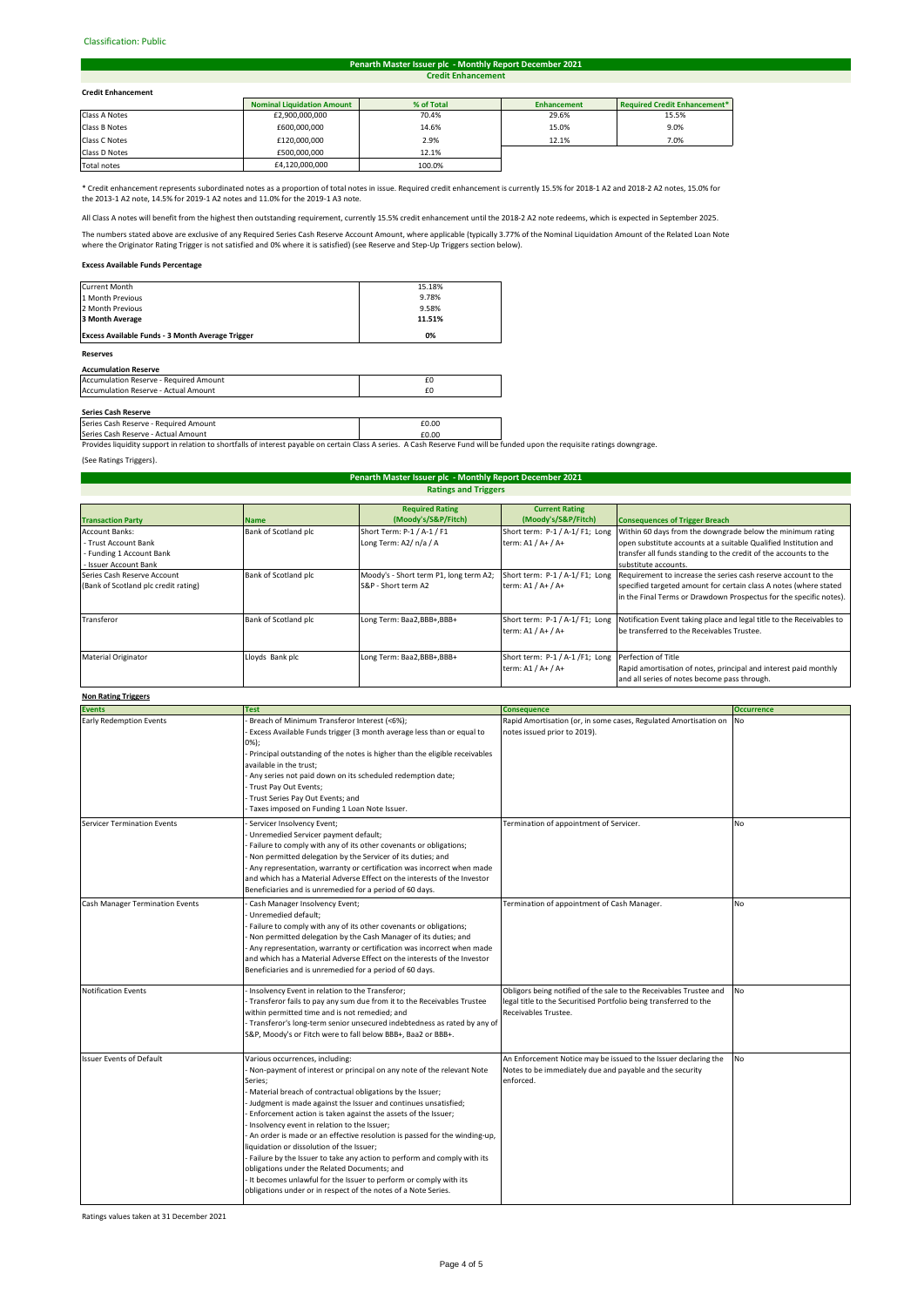### Classification: Public#

#### **Credit Enhancement Penarth Master Issuer plc - Monthly Report December 2021**

## **Credit Enhancement**

| <b>Credit Enhancement</b> |                                   |            |                    |                                     |  |
|---------------------------|-----------------------------------|------------|--------------------|-------------------------------------|--|
|                           | <b>Nominal Liquidation Amount</b> | % of Total | <b>Enhancement</b> | <b>Required Credit Enhancement*</b> |  |
| Class A Notes             | £2,900,000,000                    | 70.4%      | 29.6%              | 15.5%                               |  |
| Class B Notes             | £600,000,000                      | 14.6%      | 15.0%              | 9.0%                                |  |
| Class C Notes             | £120,000,000                      | 2.9%       | 12.1%              | 7.0%                                |  |
| Class D Notes             | £500,000,000                      | 12.1%      |                    |                                     |  |
|                           |                                   |            |                    |                                     |  |

Total notes 64,120,000,000 100.0% **I** 

\* Credit enhancement represents subordinated notes as a proportion of total notes in issue. Required credit enhancement is currently 15.5% for 2018-1 A2 and 2018-2 A2 notes, 15.0% for the 2013-1 A2 note, 14.5% for 2019-1 A2 notes and 11.0% for the 2019-1 A3 note.

All Class A notes will benefit from the highest then outstanding requirement, currently 15.5% credit enhancement until the 2018-2 A2 note redeems, which is expected in September 2025.

The numbers stated above are exclusive of any Required Series Cash Reserve Account Amount, where applicable (typically 3.77% of the Nominal Liquidation Amount of the Related Loan Note<br>where the Originator Rating Trigger is

## **Excess Available Funds Percentage**

| <b>Reserves</b>                                         |        |
|---------------------------------------------------------|--------|
| <b>Excess Available Funds - 3 Month Average Trigger</b> | 0%     |
| 3 Month Average                                         | 11.51% |
| 2 Month Previous                                        | 9.58%  |
| 1 Month Previous                                        | 9.78%  |
| <b>Current Month</b>                                    | 15.18% |

## **Accumulation Reserve**

| Accumulation Reserve - Required Amount      |  |
|---------------------------------------------|--|
| <b>Accumulation Reserve - Actual Amount</b> |  |
|                                             |  |

**Series Cash Reserve**<br>Series Cash Reserve - Required Amount **£0.00 Example 2.000 Example 2.000** Series Cash Reserve - Actual Amount **2008** 2010 2021 2022 2023 2024 2024 2022 2023 2024 2022 2023 2024 2022 2023

Provides liquidity support in relation to shortfalls of interest payable on certain Class A series. A Cash Reserve Fund will be funded upon the requisite ratings downgrage.

(See Ratings Triggers).

# **Ratings and Triggers Penarth Master Issuer plc - Monthly Report December 2021**

|                                      |                      | <b>Required Rating</b>                 | <b>Current Rating</b>                               |                                                                       |
|--------------------------------------|----------------------|----------------------------------------|-----------------------------------------------------|-----------------------------------------------------------------------|
| <b>Transaction Party</b>             | <b>Name</b>          | (Moody's/S&P/Fitch)                    | (Moody's/S&P/Fitch)                                 | <b>Consequences of Trigger Breach</b>                                 |
| <b>Account Banks:</b>                | Bank of Scotland plc | Short Term: P-1 / A-1 / F1             | Short term: P-1 / A-1/ F1; Long                     | Within 60 days from the downgrade below the minimum rating            |
| - Trust Account Bank                 |                      | Long Term: A2/ n/a / A                 | term: A1 / A+ / A+                                  | open substitute accounts at a suitable Qualified Institution and      |
| - Funding 1 Account Bank             |                      |                                        |                                                     | transfer all funds standing to the credit of the accounts to the      |
| - Issuer Account Bank                |                      |                                        |                                                     | substitute accounts.                                                  |
| Series Cash Reserve Account          | Bank of Scotland plc | Moody's - Short term P1, long term A2; | Short term: P-1 / A-1/ F1; Long                     | Requirement to increase the series cash reserve account to the        |
| (Bank of Scotland plc credit rating) |                      | S&P - Short term A2                    | term: A1 / A+ / A+                                  | specified targeted amount for certain class A notes (where stated     |
|                                      |                      |                                        |                                                     | in the Final Terms or Drawdown Prospectus for the specific notes).    |
|                                      |                      |                                        |                                                     |                                                                       |
| Transferor                           | Bank of Scotland plc | Long Term: Baa2,BBB+,BBB+              | Short term: P-1 / A-1/ F1; Long                     | Notification Event taking place and legal title to the Receivables to |
|                                      |                      |                                        | term: A1 / A+ / A+                                  | be transferred to the Receivables Trustee.                            |
|                                      |                      |                                        |                                                     |                                                                       |
| <b>Material Originator</b>           | Lloyds Bank plc      | Long Term: Baa2,BBB+,BBB+              | Short term: P-1 / A-1 /F1; Long Perfection of Title |                                                                       |
|                                      |                      |                                        | term: A1 / A+ / A+                                  | Rapid amortisation of notes, principal and interest paid monthly      |
|                                      |                      |                                        |                                                     | and all series of notes become pass through.                          |

# **Non Rating Triggers**

| ניוסוו המנוווצ וווצגכוס                |                                                                                                                                                                                                                                                                                                                                                                                                                                                                                                                                                                                                                                                                                                                                                                       |                                                                                                                                                                 |                   |  |  |
|----------------------------------------|-----------------------------------------------------------------------------------------------------------------------------------------------------------------------------------------------------------------------------------------------------------------------------------------------------------------------------------------------------------------------------------------------------------------------------------------------------------------------------------------------------------------------------------------------------------------------------------------------------------------------------------------------------------------------------------------------------------------------------------------------------------------------|-----------------------------------------------------------------------------------------------------------------------------------------------------------------|-------------------|--|--|
| <b>Events</b>                          | <b>Test</b>                                                                                                                                                                                                                                                                                                                                                                                                                                                                                                                                                                                                                                                                                                                                                           | <b>Consequence</b>                                                                                                                                              | <b>Occurrence</b> |  |  |
| <b>Early Redemption Events</b>         | Breach of Minimum Transferor Interest (<6%);<br>Excess Available Funds trigger (3 month average less than or equal to<br>$0\%$ );<br>- Principal outstanding of the notes is higher than the eligible receivables<br>available in the trust:<br>Any series not paid down on its scheduled redemption date;<br>- Trust Pay Out Events;<br>Trust Series Pay Out Events; and<br>Taxes imposed on Funding 1 Loan Note Issuer.                                                                                                                                                                                                                                                                                                                                             | Rapid Amortisation (or, in some cases, Regulated Amortisation on<br>notes issued prior to 2019).                                                                | <b>No</b>         |  |  |
| <b>Servicer Termination Events</b>     | Servicer Insolvency Event;<br>Unremedied Servicer payment default;<br>Failure to comply with any of its other covenants or obligations;<br>Non permitted delegation by the Servicer of its duties; and<br>Any representation, warranty or certification was incorrect when made<br>and which has a Material Adverse Effect on the interests of the Investor<br>Beneficiaries and is unremedied for a period of 60 days.                                                                                                                                                                                                                                                                                                                                               | Termination of appointment of Servicer.                                                                                                                         | <b>No</b>         |  |  |
| <b>Cash Manager Termination Events</b> | Cash Manager Insolvency Event;<br>Unremedied default;<br>Failure to comply with any of its other covenants or obligations;<br>Non permitted delegation by the Cash Manager of its duties; and<br>- Any representation, warranty or certification was incorrect when made<br>and which has a Material Adverse Effect on the interests of the Investor<br>Beneficiaries and is unremedied for a period of 60 days.                                                                                                                                                                                                                                                                                                                                                      | Termination of appointment of Cash Manager.                                                                                                                     | <b>No</b>         |  |  |
| Notification Events                    | - Insolvency Event in relation to the Transferor;<br>- Transferor fails to pay any sum due from it to the Receivables Trustee<br>within permitted time and is not remedied; and<br>- Transferor's long-term senior unsecured indebtedness as rated by any of<br>S&P, Moody's or Fitch were to fall below BBB+, Baa2 or BBB+.                                                                                                                                                                                                                                                                                                                                                                                                                                          | Obligors being notified of the sale to the Receivables Trustee and<br>legal title to the Securitised Portfolio being transferred to the<br>Receivables Trustee. | No                |  |  |
| <b>Issuer Events of Default</b>        | Various occurrences, including:<br>Non-payment of interest or principal on any note of the relevant Note<br>Series;<br>- Material breach of contractual obligations by the Issuer;<br>Judgment is made against the Issuer and continues unsatisfied;<br>Enforcement action is taken against the assets of the Issuer;<br>- Insolvency event in relation to the Issuer;<br>An order is made or an effective resolution is passed for the winding-up,<br>liquidation or dissolution of the Issuer;<br>- Failure by the Issuer to take any action to perform and comply with its<br>obligations under the Related Documents; and<br>- It becomes unlawful for the Issuer to perform or comply with its<br>obligations under or in respect of the notes of a Note Series. | An Enforcement Notice may be issued to the Issuer declaring the<br>Notes to be immediately due and payable and the security<br>enforced.                        | <b>No</b>         |  |  |

Ratings values taken at 31 December 2021